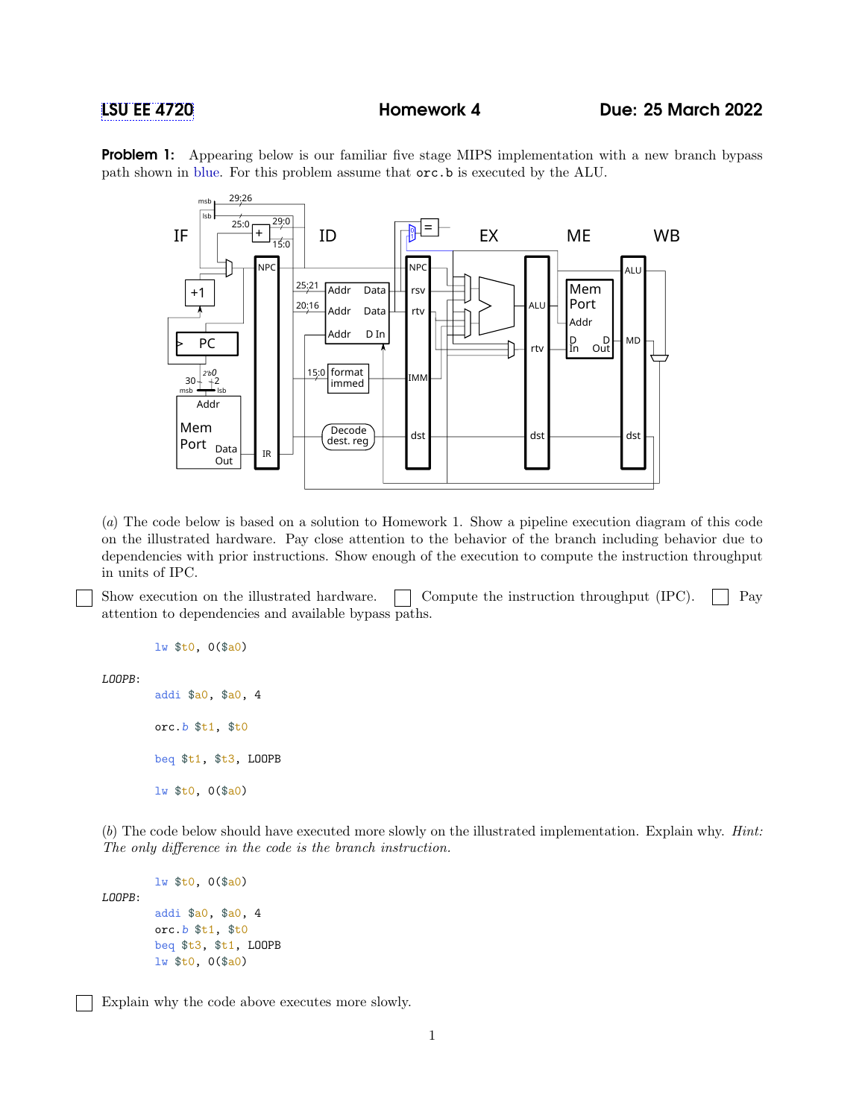**Problem 1:** Appearing below is our familiar five stage MIPS implementation with a new branch bypass path shown in blue. For this problem assume that orc.b is executed by the ALU.



(a) The code below is based on a solution to Homework 1. Show a pipeline execution diagram of this code on the illustrated hardware. Pay close attention to the behavior of the branch including behavior due to dependencies with prior instructions. Show enough of the execution to compute the instruction throughput in units of IPC.

Show execution on the illustrated hardware.  $\Box$  Compute the instruction throughput (IPC).  $\Box$  Pay attention to dependencies and available bypass paths.

lw \$t0, 0(\$a0)

LOOPB:

addi \$a0, \$a0, 4 orc.b \$t1, \$t0 beq \$t1, \$t3, LOOPB lw \$t0, 0(\$a0)

(b) The code below should have executed more slowly on the illustrated implementation. Explain why. Hint: The only difference in the code is the branch instruction.

LOOPB:

```
addi $a0, $a0, 4
orc.b $t1, $t0
beq $t3, $t1, LOOPB
lw $t0, 0($a0)
```
lw \$t0, 0(\$a0)

Explain why the code above executes more slowly.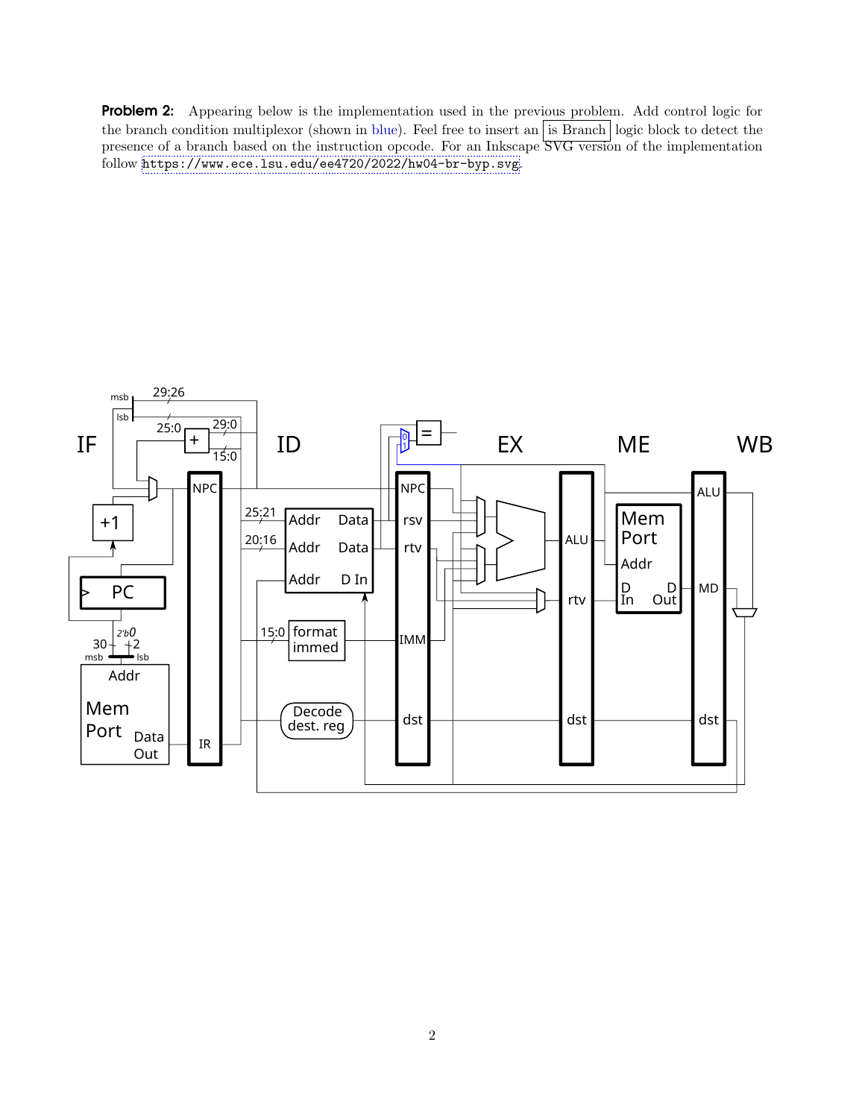Problem 2: Appearing below is the implementation used in the previous problem. Add control logic for the branch condition multiplexor (shown in blue). Feel free to insert an  $\overline{\phantom{a}}$  is Branch | logic block to detect the presence of a branch based on the instruction opcode. For an Inkscape SVG version of the implementation follow <https://www.ece.lsu.edu/ee4720/2022/hw04-br-byp.svg>.